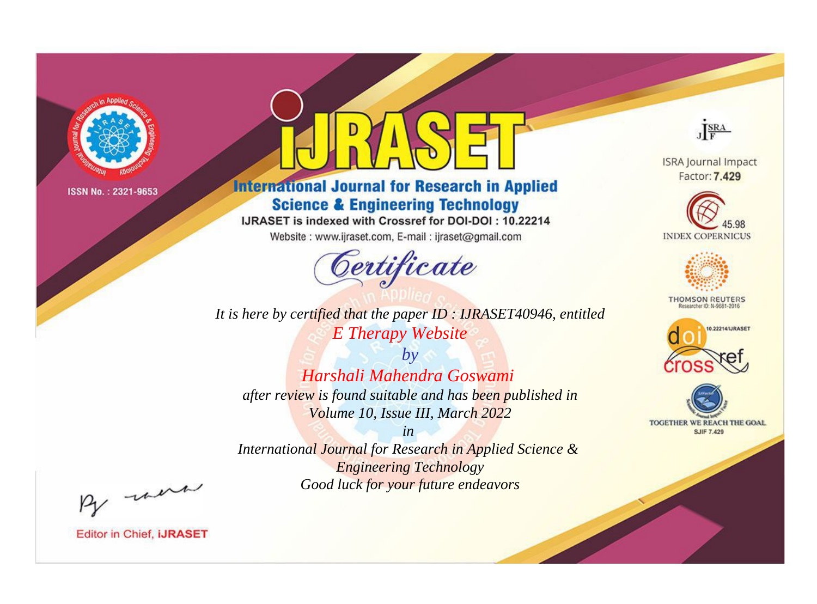

# **International Journal for Research in Applied Science & Engineering Technology**

IJRASET is indexed with Crossref for DOI-DOI: 10.22214

Website: www.ijraset.com, E-mail: ijraset@gmail.com



JERA

**ISRA Journal Impact** Factor: 7.429





**THOMSON REUTERS** 



TOGETHER WE REACH THE GOAL **SJIF 7.429** 

It is here by certified that the paper ID: IJRASET40946, entitled **E** Therapy Website

 $b\nu$ Harshali Mahendra Goswami after review is found suitable and has been published in Volume 10, Issue III, March 2022

 $in$ International Journal for Research in Applied Science & **Engineering Technology** Good luck for your future endeavors

By morn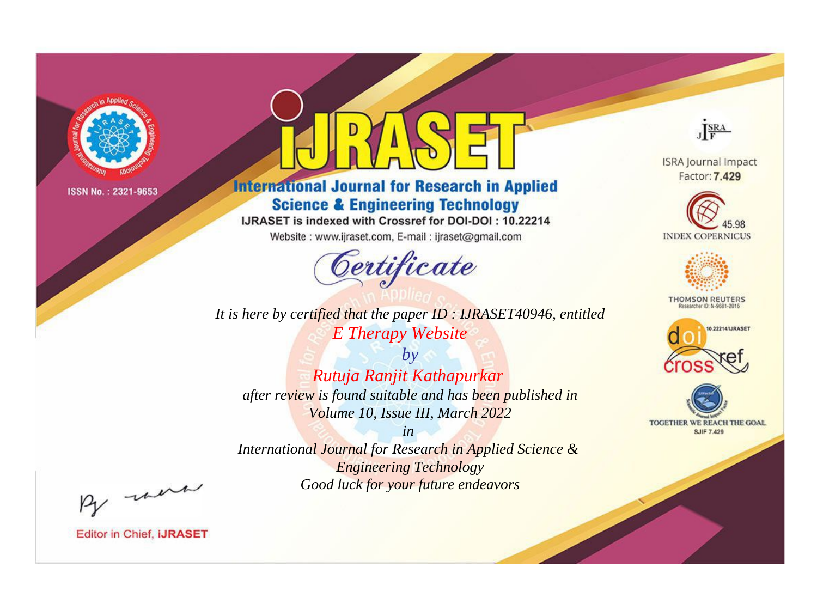

# **International Journal for Research in Applied Science & Engineering Technology**

IJRASET is indexed with Crossref for DOI-DOI: 10.22214

Website: www.ijraset.com, E-mail: ijraset@gmail.com



JERA

**ISRA Journal Impact** Factor: 7.429





**THOMSON REUTERS** 



TOGETHER WE REACH THE GOAL **SJIF 7.429** 

*It is here by certified that the paper ID : IJRASET40946, entitled E Therapy Website*

*by Rutuja Ranjit Kathapurkar after review is found suitable and has been published in Volume 10, Issue III, March 2022*

*in* 

*International Journal for Research in Applied Science & Engineering Technology Good luck for your future endeavors*

By morn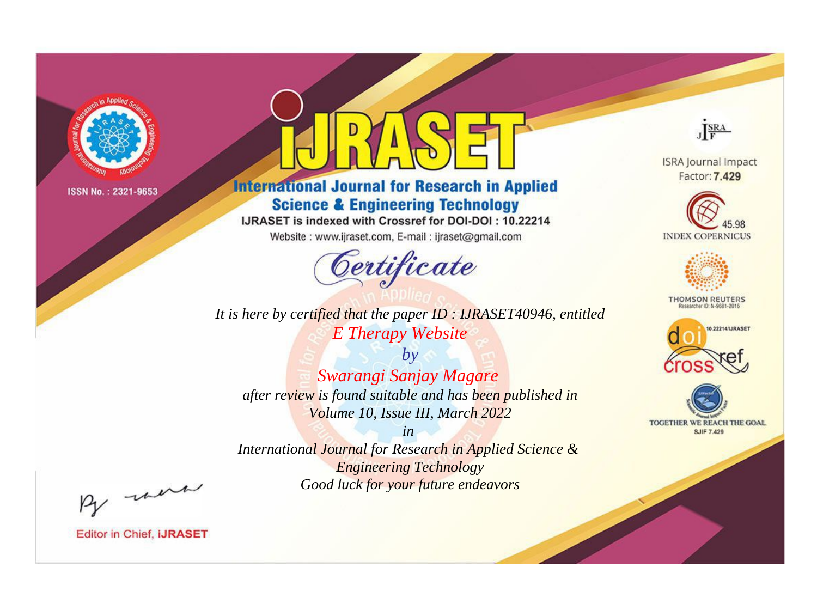

# **International Journal for Research in Applied Science & Engineering Technology**

IJRASET is indexed with Crossref for DOI-DOI: 10.22214

Website: www.ijraset.com, E-mail: ijraset@gmail.com



JERA

**ISRA Journal Impact** Factor: 7.429





**THOMSON REUTERS** 



TOGETHER WE REACH THE GOAL **SJIF 7.429** 

*It is here by certified that the paper ID : IJRASET40946, entitled E Therapy Website*

*by Swarangi Sanjay Magare after review is found suitable and has been published in Volume 10, Issue III, March 2022*

*in* 

*International Journal for Research in Applied Science & Engineering Technology Good luck for your future endeavors*

By morn